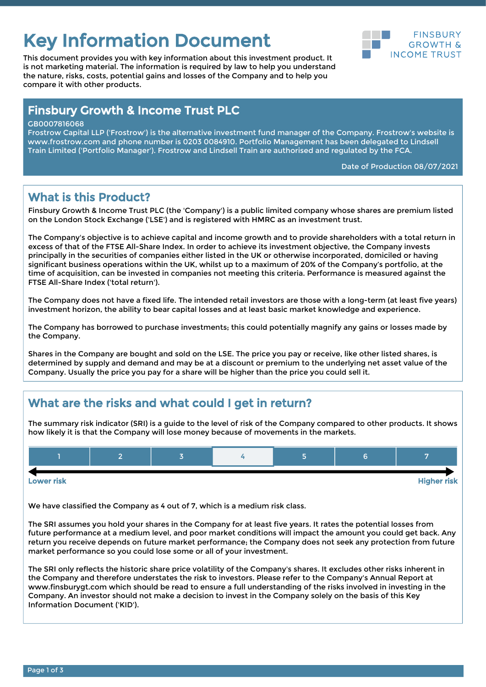# Key Information Document<br> **Key Information Document**

This document provides you with key information about this investment product. It is not marketing material. The information is required by law to help you understand the nature, risks, costs, potential gains and losses of the Company and to help you compare it with other products.



# Finsbury Growth & Income Trust PLC

GB0007816068

Frostrow Capital LLP ('Frostrow') is the alternative investment fund manager of the Company. Frostrow's website is www.frostrow.com and phone number is 0203 0084910. Portfolio Management has been delegated to Lindsell Train Limited ('Portfolio Manager'). Frostrow and Lindsell Train are authorised and regulated by the FCA.

Date of Production 08/07/2021

# What is this Product?

Finsbury Growth & Income Trust PLC (the 'Company') is a public limited company whose shares are premium listed on the London Stock Exchange ('LSE') and is registered with HMRC as an investment trust.

The Company's objective is to achieve capital and income growth and to provide shareholders with a total return in excess of that of the FTSE All-Share Index. In order to achieve its investment objective, the Company invests principally in the securities of companies either listed in the UK or otherwise incorporated, domiciled or having significant business operations within the UK, whilst up to a maximum of 20% of the Company's portfolio, at the time of acquisition, can be invested in companies not meeting this criteria. Performance is measured against the FTSE All-Share Index ('total return').

The Company does not have a fixed life. The intended retail investors are those with a long-term (at least five years) investment horizon, the ability to bear capital losses and at least basic market knowledge and experience.

The Company has borrowed to purchase investments; this could potentially magnify any gains or losses made by the Company.

Shares in the Company are bought and sold on the LSE. The price you pay or receive, like other listed shares, is determined by supply and demand and may be at a discount or premium to the underlying net asset value of the Company. Usually the price you pay for a share will be higher than the price you could sell it.

# What are the risks and what could I get in return?

The summary risk indicator (SRI) is a guide to the level of risk of the Company compared to other products. It shows how likely it is that the Company will lose money because of movements in the markets.



Lower risk Higher risk

We have classified the Company as 4 out of 7, which is a medium risk class.

The SRI assumes you hold your shares in the Company for at least five years. It rates the potential losses from future performance at a medium level, and poor market conditions will impact the amount you could get back. Any return you receive depends on future market performance; the Company does not seek any protection from future market performance so you could lose some or all of your investment.

The SRI only reflects the historic share price volatility of the Company's shares. It excludes other risks inherent in the Company and therefore understates the risk to investors. Please refer to the Company's Annual Report at www.finsburygt.com which should be read to ensure a full understanding of the risks involved in investing in the Company. An investor should not make a decision to invest in the Company solely on the basis of this Key Information Document ('KID').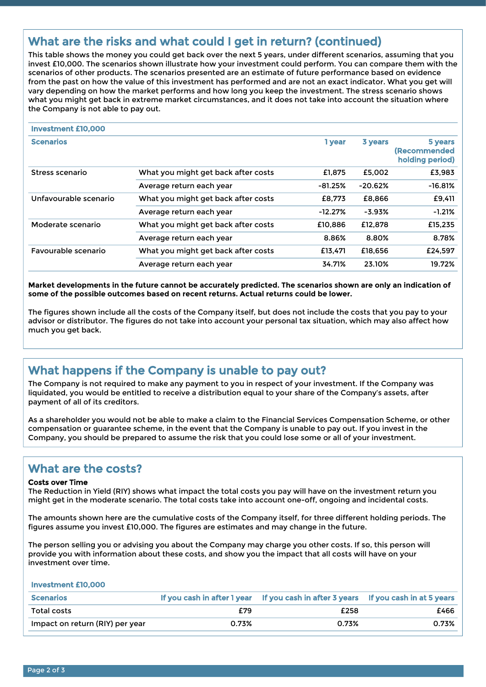# What are the risks and what could I get in return? (continued)

This table shows the money you could get back over the next 5 years, under different scenarios, assuming that you invest £10,000. The scenarios shown illustrate how your investment could perform. You can compare them with the scenarios of other products. The scenarios presented are an estimate of future performance based on evidence from the past on how the value of this investment has performed and are not an exact indicator. What you get will vary depending on how the market performs and how long you keep the investment. The stress scenario shows what you might get back in extreme market circumstances, and it does not take into account the situation where the Company is not able to pay out.

| <b>Investment £10,000</b> |                                     |           |           |                                                    |
|---------------------------|-------------------------------------|-----------|-----------|----------------------------------------------------|
| <b>Scenarios</b>          |                                     | 1 year    | 3 years   | 5 years<br><b>(Recommended)</b><br>holding period) |
| Stress scenario           | What you might get back after costs | £1,875    | £5.002    | £3,983                                             |
|                           | Average return each year            | $-81.25%$ | $-20.62%$ | $-16.81%$                                          |
| Unfavourable scenario     | What you might get back after costs | £8,773    | £8.866    | £9,411                                             |
|                           | Average return each year            | $-12.27%$ | $-3.93%$  | $-1.21%$                                           |
| Moderate scenario         | What you might get back after costs | £10.886   | £12.878   | £15.235                                            |
|                           | Average return each year            | 8.86%     | 8.80%     | 8.78%                                              |
| Favourable scenario       | What you might get back after costs | £13.471   | £18.656   | £24.597                                            |
|                           | Average return each year            | 34.71%    | 23.10%    | 19.72%                                             |

**Market developments in the future cannot be accurately predicted. The scenarios shown are only an indication of some of the possible outcomes based on recent returns. Actual returns could be lower.**

The figures shown include all the costs of the Company itself, but does not include the costs that you pay to your advisor or distributor. The figures do not take into account your personal tax situation, which may also affect how much you get back.

# What happens if the Company is unable to pay out?

The Company is not required to make any payment to you in respect of your investment. If the Company was liquidated, you would be entitled to receive a distribution equal to your share of the Company's assets, after payment of all of its creditors.

As a shareholder you would not be able to make a claim to the Financial Services Compensation Scheme, or other compensation or guarantee scheme, in the event that the Company is unable to pay out. If you invest in the Company, you should be prepared to assume the risk that you could lose some or all of your investment.

### What are the costs?

#### Costs over Time

The Reduction in Yield (RIY) shows what impact the total costs you pay will have on the investment return you might get in the moderate scenario. The total costs take into account one-off, ongoing and incidental costs.

The amounts shown here are the cumulative costs of the Company itself, for three different holding periods. The figures assume you invest £10,000. The figures are estimates and may change in the future.

The person selling you or advising you about the Company may charge you other costs. If so, this person will provide you with information about these costs, and show you the impact that all costs will have on your investment over time.

Investment £10,000

| <b>Scenarios</b>                | f vou cash in after 1 vear | If you cash in after 3 years | If you cash in at 5 years |
|---------------------------------|----------------------------|------------------------------|---------------------------|
| Total costs                     | £79                        | £258                         | £466                      |
| Impact on return (RIY) per year | ጋ.73%                      | 0.73%                        | 0.73%                     |